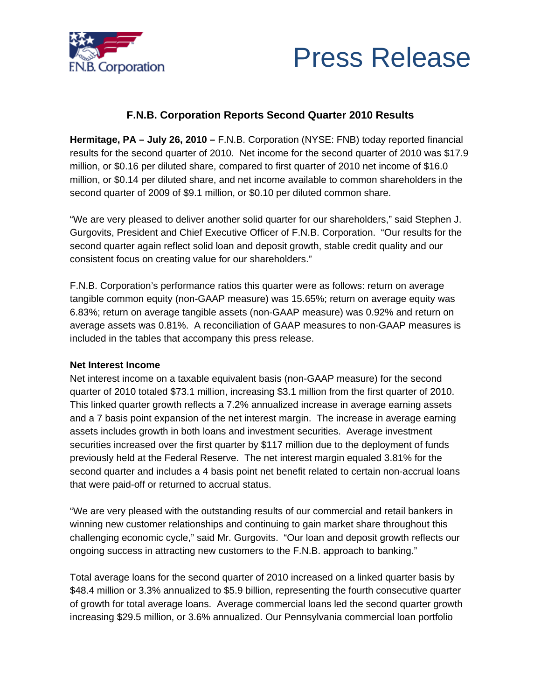



# **F.N.B. Corporation Reports Second Quarter 2010 Results**

**Hermitage, PA – July 26, 2010 –** F.N.B. Corporation (NYSE: FNB) today reported financial results for the second quarter of 2010. Net income for the second quarter of 2010 was \$17.9 million, or \$0.16 per diluted share, compared to first quarter of 2010 net income of \$16.0 million, or \$0.14 per diluted share, and net income available to common shareholders in the second quarter of 2009 of \$9.1 million, or \$0.10 per diluted common share.

"We are very pleased to deliver another solid quarter for our shareholders," said Stephen J. Gurgovits, President and Chief Executive Officer of F.N.B. Corporation. "Our results for the second quarter again reflect solid loan and deposit growth, stable credit quality and our consistent focus on creating value for our shareholders."

F.N.B. Corporation's performance ratios this quarter were as follows: return on average tangible common equity (non-GAAP measure) was 15.65%; return on average equity was 6.83%; return on average tangible assets (non-GAAP measure) was 0.92% and return on average assets was 0.81%. A reconciliation of GAAP measures to non-GAAP measures is included in the tables that accompany this press release.

## **Net Interest Income**

Net interest income on a taxable equivalent basis (non-GAAP measure) for the second quarter of 2010 totaled \$73.1 million, increasing \$3.1 million from the first quarter of 2010. This linked quarter growth reflects a 7.2% annualized increase in average earning assets and a 7 basis point expansion of the net interest margin. The increase in average earning assets includes growth in both loans and investment securities. Average investment securities increased over the first quarter by \$117 million due to the deployment of funds previously held at the Federal Reserve. The net interest margin equaled 3.81% for the second quarter and includes a 4 basis point net benefit related to certain non-accrual loans that were paid-off or returned to accrual status.

"We are very pleased with the outstanding results of our commercial and retail bankers in winning new customer relationships and continuing to gain market share throughout this challenging economic cycle," said Mr. Gurgovits. "Our loan and deposit growth reflects our ongoing success in attracting new customers to the F.N.B. approach to banking."

Total average loans for the second quarter of 2010 increased on a linked quarter basis by \$48.4 million or 3.3% annualized to \$5.9 billion, representing the fourth consecutive quarter of growth for total average loans. Average commercial loans led the second quarter growth increasing \$29.5 million, or 3.6% annualized. Our Pennsylvania commercial loan portfolio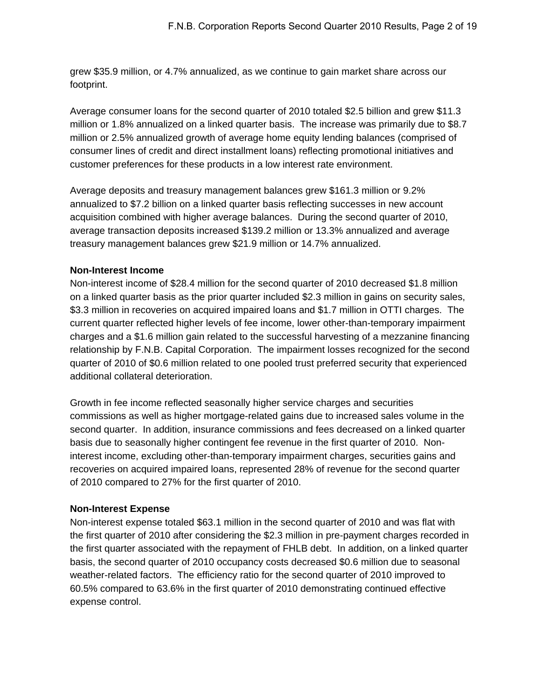grew \$35.9 million, or 4.7% annualized, as we continue to gain market share across our footprint.

Average consumer loans for the second quarter of 2010 totaled \$2.5 billion and grew \$11.3 million or 1.8% annualized on a linked quarter basis. The increase was primarily due to \$8.7 million or 2.5% annualized growth of average home equity lending balances (comprised of consumer lines of credit and direct installment loans) reflecting promotional initiatives and customer preferences for these products in a low interest rate environment.

Average deposits and treasury management balances grew \$161.3 million or 9.2% annualized to \$7.2 billion on a linked quarter basis reflecting successes in new account acquisition combined with higher average balances. During the second quarter of 2010, average transaction deposits increased \$139.2 million or 13.3% annualized and average treasury management balances grew \$21.9 million or 14.7% annualized.

## **Non-Interest Income**

Non-interest income of \$28.4 million for the second quarter of 2010 decreased \$1.8 million on a linked quarter basis as the prior quarter included \$2.3 million in gains on security sales, \$3.3 million in recoveries on acquired impaired loans and \$1.7 million in OTTI charges. The current quarter reflected higher levels of fee income, lower other-than-temporary impairment charges and a \$1.6 million gain related to the successful harvesting of a mezzanine financing relationship by F.N.B. Capital Corporation. The impairment losses recognized for the second quarter of 2010 of \$0.6 million related to one pooled trust preferred security that experienced additional collateral deterioration.

Growth in fee income reflected seasonally higher service charges and securities commissions as well as higher mortgage-related gains due to increased sales volume in the second quarter. In addition, insurance commissions and fees decreased on a linked quarter basis due to seasonally higher contingent fee revenue in the first quarter of 2010. Noninterest income, excluding other-than-temporary impairment charges, securities gains and recoveries on acquired impaired loans, represented 28% of revenue for the second quarter of 2010 compared to 27% for the first quarter of 2010.

## **Non-Interest Expense**

Non-interest expense totaled \$63.1 million in the second quarter of 2010 and was flat with the first quarter of 2010 after considering the \$2.3 million in pre-payment charges recorded in the first quarter associated with the repayment of FHLB debt. In addition, on a linked quarter basis, the second quarter of 2010 occupancy costs decreased \$0.6 million due to seasonal weather-related factors. The efficiency ratio for the second quarter of 2010 improved to 60.5% compared to 63.6% in the first quarter of 2010 demonstrating continued effective expense control.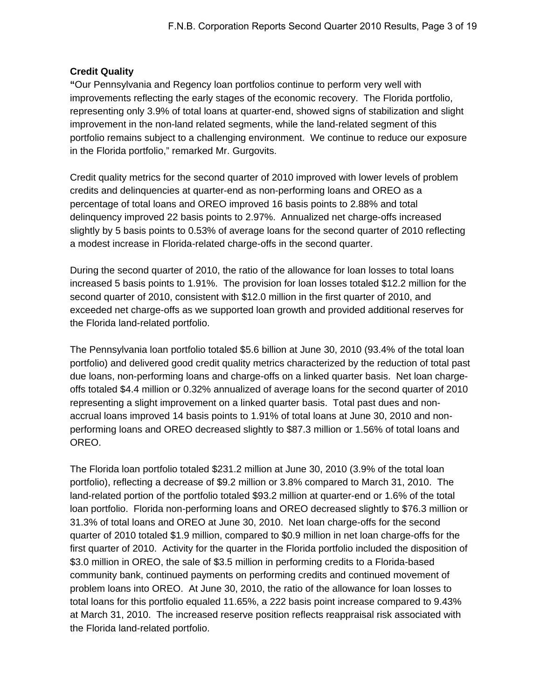# **Credit Quality**

**"**Our Pennsylvania and Regency loan portfolios continue to perform very well with improvements reflecting the early stages of the economic recovery. The Florida portfolio, representing only 3.9% of total loans at quarter-end, showed signs of stabilization and slight improvement in the non-land related segments, while the land-related segment of this portfolio remains subject to a challenging environment. We continue to reduce our exposure in the Florida portfolio," remarked Mr. Gurgovits.

Credit quality metrics for the second quarter of 2010 improved with lower levels of problem credits and delinquencies at quarter-end as non-performing loans and OREO as a percentage of total loans and OREO improved 16 basis points to 2.88% and total delinquency improved 22 basis points to 2.97%. Annualized net charge-offs increased slightly by 5 basis points to 0.53% of average loans for the second quarter of 2010 reflecting a modest increase in Florida-related charge-offs in the second quarter.

During the second quarter of 2010, the ratio of the allowance for loan losses to total loans increased 5 basis points to 1.91%. The provision for loan losses totaled \$12.2 million for the second quarter of 2010, consistent with \$12.0 million in the first quarter of 2010, and exceeded net charge-offs as we supported loan growth and provided additional reserves for the Florida land-related portfolio.

The Pennsylvania loan portfolio totaled \$5.6 billion at June 30, 2010 (93.4% of the total loan portfolio) and delivered good credit quality metrics characterized by the reduction of total past due loans, non-performing loans and charge-offs on a linked quarter basis. Net loan chargeoffs totaled \$4.4 million or 0.32% annualized of average loans for the second quarter of 2010 representing a slight improvement on a linked quarter basis. Total past dues and nonaccrual loans improved 14 basis points to 1.91% of total loans at June 30, 2010 and nonperforming loans and OREO decreased slightly to \$87.3 million or 1.56% of total loans and OREO.

The Florida loan portfolio totaled \$231.2 million at June 30, 2010 (3.9% of the total loan portfolio), reflecting a decrease of \$9.2 million or 3.8% compared to March 31, 2010. The land-related portion of the portfolio totaled \$93.2 million at quarter-end or 1.6% of the total loan portfolio. Florida non-performing loans and OREO decreased slightly to \$76.3 million or 31.3% of total loans and OREO at June 30, 2010. Net loan charge-offs for the second quarter of 2010 totaled \$1.9 million, compared to \$0.9 million in net loan charge-offs for the first quarter of 2010. Activity for the quarter in the Florida portfolio included the disposition of \$3.0 million in OREO, the sale of \$3.5 million in performing credits to a Florida-based community bank, continued payments on performing credits and continued movement of problem loans into OREO. At June 30, 2010, the ratio of the allowance for loan losses to total loans for this portfolio equaled 11.65%, a 222 basis point increase compared to 9.43% at March 31, 2010. The increased reserve position reflects reappraisal risk associated with the Florida land-related portfolio.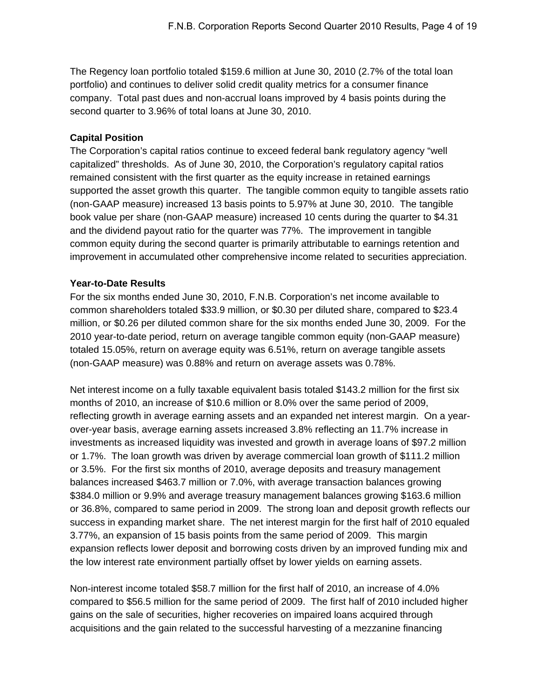The Regency loan portfolio totaled \$159.6 million at June 30, 2010 (2.7% of the total loan portfolio) and continues to deliver solid credit quality metrics for a consumer finance company. Total past dues and non-accrual loans improved by 4 basis points during the second quarter to 3.96% of total loans at June 30, 2010.

## **Capital Position**

The Corporation's capital ratios continue to exceed federal bank regulatory agency "well capitalized" thresholds. As of June 30, 2010, the Corporation's regulatory capital ratios remained consistent with the first quarter as the equity increase in retained earnings supported the asset growth this quarter. The tangible common equity to tangible assets ratio (non-GAAP measure) increased 13 basis points to 5.97% at June 30, 2010. The tangible book value per share (non-GAAP measure) increased 10 cents during the quarter to \$4.31 and the dividend payout ratio for the quarter was 77%. The improvement in tangible common equity during the second quarter is primarily attributable to earnings retention and improvement in accumulated other comprehensive income related to securities appreciation.

## **Year-to-Date Results**

For the six months ended June 30, 2010, F.N.B. Corporation's net income available to common shareholders totaled \$33.9 million, or \$0.30 per diluted share, compared to \$23.4 million, or \$0.26 per diluted common share for the six months ended June 30, 2009. For the 2010 year-to-date period, return on average tangible common equity (non-GAAP measure) totaled 15.05%, return on average equity was 6.51%, return on average tangible assets (non-GAAP measure) was 0.88% and return on average assets was 0.78%.

Net interest income on a fully taxable equivalent basis totaled \$143.2 million for the first six months of 2010, an increase of \$10.6 million or 8.0% over the same period of 2009, reflecting growth in average earning assets and an expanded net interest margin. On a yearover-year basis, average earning assets increased 3.8% reflecting an 11.7% increase in investments as increased liquidity was invested and growth in average loans of \$97.2 million or 1.7%. The loan growth was driven by average commercial loan growth of \$111.2 million or 3.5%. For the first six months of 2010, average deposits and treasury management balances increased \$463.7 million or 7.0%, with average transaction balances growing \$384.0 million or 9.9% and average treasury management balances growing \$163.6 million or 36.8%, compared to same period in 2009. The strong loan and deposit growth reflects our success in expanding market share. The net interest margin for the first half of 2010 equaled 3.77%, an expansion of 15 basis points from the same period of 2009. This margin expansion reflects lower deposit and borrowing costs driven by an improved funding mix and the low interest rate environment partially offset by lower yields on earning assets.

Non-interest income totaled \$58.7 million for the first half of 2010, an increase of 4.0% compared to \$56.5 million for the same period of 2009. The first half of 2010 included higher gains on the sale of securities, higher recoveries on impaired loans acquired through acquisitions and the gain related to the successful harvesting of a mezzanine financing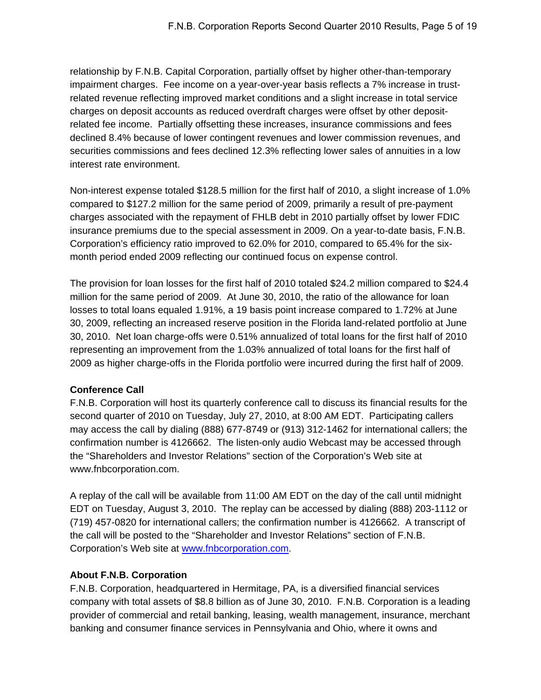relationship by F.N.B. Capital Corporation, partially offset by higher other-than-temporary impairment charges. Fee income on a year-over-year basis reflects a 7% increase in trustrelated revenue reflecting improved market conditions and a slight increase in total service charges on deposit accounts as reduced overdraft charges were offset by other depositrelated fee income. Partially offsetting these increases, insurance commissions and fees declined 8.4% because of lower contingent revenues and lower commission revenues, and securities commissions and fees declined 12.3% reflecting lower sales of annuities in a low interest rate environment.

Non-interest expense totaled \$128.5 million for the first half of 2010, a slight increase of 1.0% compared to \$127.2 million for the same period of 2009, primarily a result of pre-payment charges associated with the repayment of FHLB debt in 2010 partially offset by lower FDIC insurance premiums due to the special assessment in 2009. On a year-to-date basis, F.N.B. Corporation's efficiency ratio improved to 62.0% for 2010, compared to 65.4% for the sixmonth period ended 2009 reflecting our continued focus on expense control.

The provision for loan losses for the first half of 2010 totaled \$24.2 million compared to \$24.4 million for the same period of 2009. At June 30, 2010, the ratio of the allowance for loan losses to total loans equaled 1.91%, a 19 basis point increase compared to 1.72% at June 30, 2009, reflecting an increased reserve position in the Florida land-related portfolio at June 30, 2010. Net loan charge-offs were 0.51% annualized of total loans for the first half of 2010 representing an improvement from the 1.03% annualized of total loans for the first half of 2009 as higher charge-offs in the Florida portfolio were incurred during the first half of 2009.

# **Conference Call**

F.N.B. Corporation will host its quarterly conference call to discuss its financial results for the second quarter of 2010 on Tuesday, July 27, 2010, at 8:00 AM EDT. Participating callers may access the call by dialing (888) 677-8749 or (913) 312-1462 for international callers; the confirmation number is 4126662. The listen-only audio Webcast may be accessed through the "Shareholders and Investor Relations" section of the Corporation's Web site at www.fnbcorporation.com.

A replay of the call will be available from 11:00 AM EDT on the day of the call until midnight EDT on Tuesday, August 3, 2010. The replay can be accessed by dialing (888) 203-1112 or (719) 457-0820 for international callers; the confirmation number is 4126662. A transcript of the call will be posted to the "Shareholder and Investor Relations" section of F.N.B. Corporation's Web site at [www.fnbcorporation.com.](http://www.fnbcorporation.com/)

# **About F.N.B. Corporation**

F.N.B. Corporation, headquartered in Hermitage, PA, is a diversified financial services company with total assets of \$8.8 billion as of June 30, 2010. F.N.B. Corporation is a leading provider of commercial and retail banking, leasing, wealth management, insurance, merchant banking and consumer finance services in Pennsylvania and Ohio, where it owns and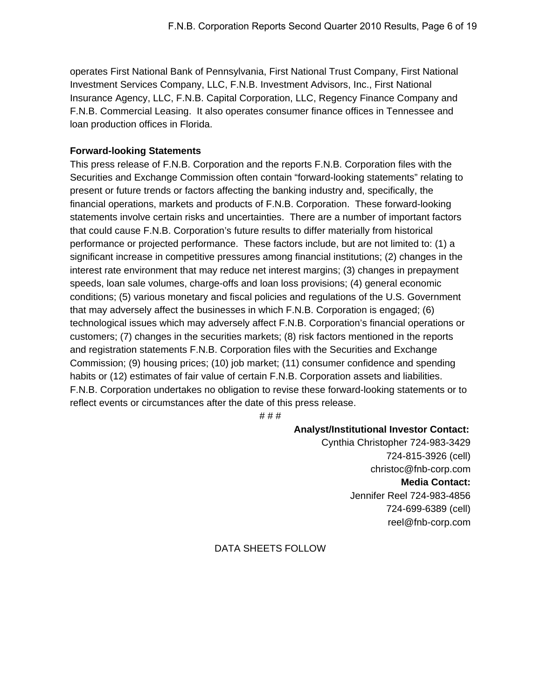operates First National Bank of Pennsylvania, First National Trust Company, First National Investment Services Company, LLC, F.N.B. Investment Advisors, Inc., First National Insurance Agency, LLC, F.N.B. Capital Corporation, LLC, Regency Finance Company and F.N.B. Commercial Leasing. It also operates consumer finance offices in Tennessee and loan production offices in Florida.

## **Forward-looking Statements**

This press release of F.N.B. Corporation and the reports F.N.B. Corporation files with the Securities and Exchange Commission often contain "forward-looking statements" relating to present or future trends or factors affecting the banking industry and, specifically, the financial operations, markets and products of F.N.B. Corporation. These forward-looking statements involve certain risks and uncertainties. There are a number of important factors that could cause F.N.B. Corporation's future results to differ materially from historical performance or projected performance. These factors include, but are not limited to: (1) a significant increase in competitive pressures among financial institutions; (2) changes in the interest rate environment that may reduce net interest margins; (3) changes in prepayment speeds, loan sale volumes, charge-offs and loan loss provisions; (4) general economic conditions; (5) various monetary and fiscal policies and regulations of the U.S. Government that may adversely affect the businesses in which F.N.B. Corporation is engaged; (6) technological issues which may adversely affect F.N.B. Corporation's financial operations or customers; (7) changes in the securities markets; (8) risk factors mentioned in the reports and registration statements F.N.B. Corporation files with the Securities and Exchange Commission; (9) housing prices; (10) job market; (11) consumer confidence and spending habits or (12) estimates of fair value of certain F.N.B. Corporation assets and liabilities. F.N.B. Corporation undertakes no obligation to revise these forward-looking statements or to reflect events or circumstances after the date of this press release.

# # #

## **Analyst/Institutional Investor Contact:**

Cynthia Christopher 724-983-3429 724-815-3926 (cell) christoc@fnb-corp.com **Media Contact:**  Jennifer Reel 724-983-4856 724-699-6389 (cell) reel@fnb-corp.com

## DATA SHEETS FOLLOW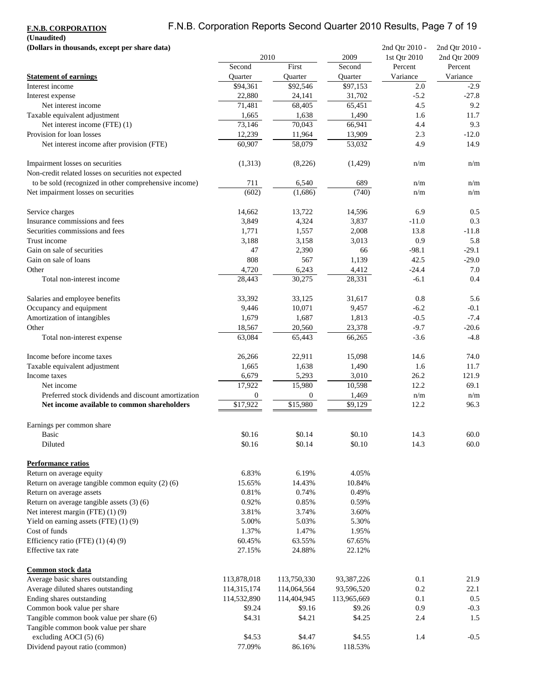# F.N.B. Corporation Reports Second Quarter 2010 Results, Page 7 of 19

**F.N.B. CORPORATION (Unaudited)**

| (Dollars in thousands, except per share data)<br>2010 |                  | 2009             | 2nd Qtr 2010 -<br>1st Qtr 2010 | 2nd Qtr 2010 -<br>2nd Qtr 2009 |          |
|-------------------------------------------------------|------------------|------------------|--------------------------------|--------------------------------|----------|
|                                                       | Second           | First            | Second                         | Percent                        | Percent  |
| <b>Statement of earnings</b>                          | <b>Ouarter</b>   | Quarter          | Ouarter                        | Variance                       | Variance |
| Interest income                                       | \$94,361         | \$92,546         | \$97,153                       | 2.0                            | $-2.9$   |
| Interest expense                                      | 22,880           | 24,141           | 31,702                         | $-5.2$                         | $-27.8$  |
| Net interest income                                   | 71.481           | 68,405           | 65,451                         | 4.5                            | 9.2      |
| Taxable equivalent adjustment                         | 1,665            | 1,638            | 1,490                          | 1.6                            | 11.7     |
| Net interest income (FTE) (1)                         | 73,146           | 70,043           | 66,941                         | 4.4                            | 9.3      |
| Provision for loan losses                             | 12,239           | 11,964           | 13,909                         | 2.3                            | $-12.0$  |
| Net interest income after provision (FTE)             | 60,907           | 58,079           | 53,032                         | 4.9                            | 14.9     |
| Impairment losses on securities                       | (1,313)          | (8,226)          | (1,429)                        | n/m                            | n/m      |
| Non-credit related losses on securities not expected  |                  |                  |                                |                                |          |
| to be sold (recognized in other comprehensive income) | 711              | 6,540            | 689                            | n/m                            | n/m      |
| Net impairment losses on securities                   | (602)            | (1,686)          | (740)                          | n/m                            | n/m      |
| Service charges                                       | 14,662           | 13,722           | 14,596                         | 6.9                            | 0.5      |
| Insurance commissions and fees                        | 3,849            | 4,324            | 3,837                          | $-11.0$                        | 0.3      |
| Securities commissions and fees                       | 1,771            | 1,557            | 2,008                          | 13.8                           | $-11.8$  |
| Trust income                                          | 3,188            | 3,158            | 3,013                          | 0.9                            | 5.8      |
| Gain on sale of securities                            | 47               | 2,390            | 66                             | $-98.1$                        | $-29.1$  |
| Gain on sale of loans                                 | 808              | 567              | 1,139                          | 42.5                           | $-29.0$  |
| Other                                                 | 4,720            | 6,243            | 4,412                          | $-24.4$                        | 7.0      |
| Total non-interest income                             | 28,443           | 30,275           | 28,331                         | $-6.1$                         | 0.4      |
| Salaries and employee benefits                        | 33,392           | 33,125           | 31,617                         | 0.8                            | 5.6      |
| Occupancy and equipment                               | 9,446            | 10,071           | 9,457                          | $-6.2$                         | $-0.1$   |
| Amortization of intangibles                           | 1,679            | 1,687            | 1,813                          | $-0.5$                         | $-7.4$   |
| Other                                                 | 18,567           | 20,560           | 23,378                         | $-9.7$                         | $-20.6$  |
| Total non-interest expense                            | 63,084           | 65,443           | 66,265                         | $-3.6$                         | $-4.8$   |
| Income before income taxes                            | 26,266           | 22,911           | 15,098                         | 14.6                           | 74.0     |
| Taxable equivalent adjustment                         | 1,665            | 1,638            | 1,490                          | 1.6                            | 11.7     |
| Income taxes                                          | 6,679            | 5,293            | 3,010                          | 26.2                           | 121.9    |
| Net income                                            | 17,922           | 15,980           | 10,598                         | 12.2                           | 69.1     |
| Preferred stock dividends and discount amortization   | $\boldsymbol{0}$ | $\boldsymbol{0}$ | 1,469                          | n/m                            | n/m      |
| Net income available to common shareholders           | \$17,922         | \$15,980         | \$9,129                        | 12.2                           | 96.3     |
| Earnings per common share                             |                  |                  |                                |                                |          |
| <b>Basic</b>                                          | \$0.16           | \$0.14           | \$0.10                         | 14.3                           | 60.0     |
| Diluted                                               | \$0.16           | \$0.14           | \$0.10                         | 14.3                           | 60.0     |
| Performance ratios                                    |                  |                  |                                |                                |          |
| Return on average equity                              | 6.83%            | 6.19%            | 4.05%                          |                                |          |
| Return on average tangible common equity (2) (6)      | 15.65%           | 14.43%           | 10.84%                         |                                |          |
| Return on average assets                              | 0.81%            | 0.74%            | 0.49%                          |                                |          |
| Return on average tangible assets $(3)$ $(6)$         | 0.92%            | 0.85%            | 0.59%                          |                                |          |
| Net interest margin (FTE) (1) (9)                     | 3.81%            | 3.74%            | 3.60%                          |                                |          |
| Yield on earning assets $(FTE)$ (1) (9)               | 5.00%            | 5.03%            | 5.30%                          |                                |          |
| Cost of funds                                         | 1.37%            | 1.47%            | 1.95%                          |                                |          |
| Efficiency ratio (FTE) (1) (4) (9)                    | 60.45%           | 63.55%           | 67.65%                         |                                |          |
| Effective tax rate                                    | 27.15%           | 24.88%           | 22.12%                         |                                |          |
| Common stock data                                     |                  |                  |                                |                                |          |
| Average basic shares outstanding                      | 113,878,018      | 113,750,330      | 93,387,226                     | 0.1                            | 21.9     |
| Average diluted shares outstanding                    | 114,315,174      | 114,064,564      | 93,596,520                     | 0.2                            | 22.1     |
| Ending shares outstanding                             | 114,532,890      | 114,404,945      | 113,965,669                    | 0.1                            | 0.5      |
| Common book value per share                           | \$9.24           | \$9.16           | \$9.26                         | 0.9                            | $-0.3$   |
| Tangible common book value per share (6)              | \$4.31           | \$4.21           | \$4.25                         | 2.4                            | 1.5      |
| Tangible common book value per share                  |                  |                  |                                |                                |          |
| excluding AOCI (5) (6)                                | \$4.53           | \$4.47           | \$4.55                         | 1.4                            | $-0.5$   |
| Dividend payout ratio (common)                        | 77.09%           | 86.16%           | 118.53%                        |                                |          |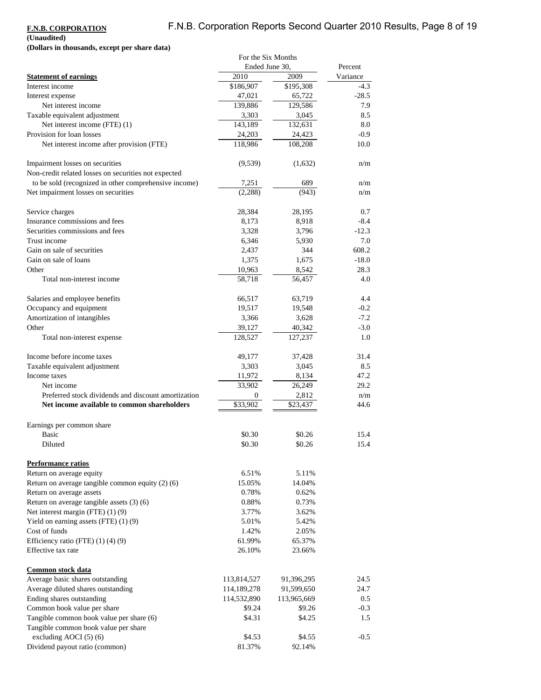# F.N.B. Corporation Reports Second Quarter 2010 Results, Page 8 of 19

### **F.N.B. CORPORATION**

**(Unaudited)**

**(Dollars in thousands, except per share data)**

|                                                       | For the Six Months |             |          |
|-------------------------------------------------------|--------------------|-------------|----------|
|                                                       | Ended June 30,     |             | Percent  |
| <b>Statement of earnings</b>                          | 2010               | 2009        | Variance |
| Interest income                                       | \$186,907          | \$195,308   | $-4.3$   |
| Interest expense                                      | 47,021             | 65,722      | $-28.5$  |
| Net interest income                                   | 139,886            | 129,586     | 7.9      |
| Taxable equivalent adjustment                         | 3,303              | 3,045       | 8.5      |
| Net interest income (FTE) (1)                         | 143,189            | 132,631     | 8.0      |
| Provision for loan losses                             | 24,203             | 24,423      | $-0.9$   |
|                                                       | 118,986            | 108,208     | 10.0     |
| Net interest income after provision (FTE)             |                    |             |          |
| Impairment losses on securities                       | (9,539)            | (1,632)     | n/m      |
| Non-credit related losses on securities not expected  |                    |             |          |
| to be sold (recognized in other comprehensive income) | 7,251              | 689         | n/m      |
| Net impairment losses on securities                   | (2,288)            | (943)       | n/m      |
| Service charges                                       | 28,384             | 28,195      | 0.7      |
| Insurance commissions and fees                        | 8,173              | 8,918       | $-8.4$   |
| Securities commissions and fees                       | 3,328              | 3,796       | $-12.3$  |
| Trust income                                          | 6,346              | 5,930       | 7.0      |
| Gain on sale of securities                            | 2,437              | 344         | 608.2    |
| Gain on sale of loans                                 | 1,375              | 1,675       | $-18.0$  |
| Other                                                 | 10,963             | 8,542       | 28.3     |
| Total non-interest income                             | 58,718             | 56,457      | 4.0      |
|                                                       |                    |             |          |
| Salaries and employee benefits                        | 66,517             | 63,719      | 4.4      |
| Occupancy and equipment                               | 19,517             | 19,548      | $-0.2$   |
| Amortization of intangibles                           | 3,366              | 3,628       | $-7.2$   |
| Other                                                 | 39,127             | 40,342      | $-3.0$   |
| Total non-interest expense                            | 128,527            | 127,237     | 1.0      |
| Income before income taxes                            | 49,177             | 37,428      | 31.4     |
| Taxable equivalent adjustment                         | 3,303              | 3,045       | 8.5      |
| Income taxes                                          | 11,972             | 8,134       | 47.2     |
| Net income                                            | 33,902             | 26,249      | 29.2     |
| Preferred stock dividends and discount amortization   | 0                  | 2,812       | n/m      |
| Net income available to common shareholders           | \$33,902           | \$23,437    | 44.6     |
|                                                       |                    |             |          |
| Earnings per common share                             |                    |             |          |
| <b>Basic</b>                                          | \$0.30             | \$0.26      | 15.4     |
| Diluted                                               | \$0.30             | \$0.26      | 15.4     |
| <b>Performance ratios</b>                             |                    |             |          |
| Return on average equity                              | 6.51%              | 5.11%       |          |
| Return on average tangible common equity $(2)$ (6)    | 15.05%             | 14.04%      |          |
| Return on average assets                              | 0.78%              | 0.62%       |          |
| Return on average tangible assets (3) (6)             | 0.88%              | 0.73%       |          |
| Net interest margin (FTE) (1) (9)                     | 3.77%              | 3.62%       |          |
| Yield on earning assets $(FTE)$ (1) (9)               | 5.01%              | 5.42%       |          |
| Cost of funds                                         | 1.42%              | 2.05%       |          |
| Efficiency ratio (FTE) $(1)$ $(4)$ $(9)$              | 61.99%             | 65.37%      |          |
| Effective tax rate                                    | 26.10%             | 23.66%      |          |
|                                                       |                    |             |          |
| Common stock data                                     |                    |             |          |
| Average basic shares outstanding                      | 113,814,527        | 91,396,295  | 24.5     |
| Average diluted shares outstanding                    | 114,189,278        | 91,599,650  | 24.7     |
| Ending shares outstanding                             | 114,532,890        | 113,965,669 | 0.5      |
| Common book value per share                           | \$9.24             | \$9.26      | $-0.3$   |
| Tangible common book value per share (6)              | \$4.31             | \$4.25      | 1.5      |
| Tangible common book value per share                  |                    |             |          |
| excluding AOCI (5) (6)                                | \$4.53             | \$4.55      | $-0.5$   |
| Dividend payout ratio (common)                        | 81.37%             | 92.14%      |          |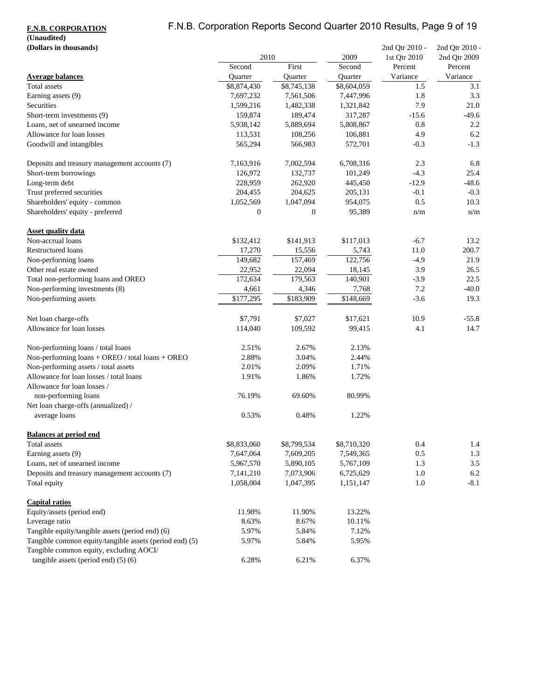# F.N.B. Corporation Reports Second Quarter 2010 Results, Page 9 of 19

### **F.N.B. CORPORATION**

# **(Unaudited)**

| (Dollars in thousands)                                                 | 2010        |                  |             |          | 2009     | 2nd Qtr 2010 -<br>1st Qtr 2010 | 2nd Qtr 2010 -<br>2nd Qtr 2009 |
|------------------------------------------------------------------------|-------------|------------------|-------------|----------|----------|--------------------------------|--------------------------------|
|                                                                        | Second      | First            | Second      | Percent  | Percent  |                                |                                |
| <b>Average balances</b>                                                | Quarter     | Quarter          | Quarter     | Variance | Variance |                                |                                |
| Total assets                                                           | \$8,874,430 | \$8,745,138      | \$8,604,059 | 1.5      | 3.1      |                                |                                |
| Earning assets (9)                                                     | 7,697,232   | 7,561,506        | 7,447,996   | 1.8      | 3.3      |                                |                                |
| Securities                                                             | 1,599,216   | 1,482,338        | 1,321,842   | 7.9      | 21.0     |                                |                                |
| Short-term investments (9)                                             | 159,874     | 189,474          | 317,287     | $-15.6$  | $-49.6$  |                                |                                |
| Loans, net of unearned income                                          | 5,938,142   | 5,889,694        | 5,808,867   | 0.8      | 2.2      |                                |                                |
| Allowance for loan losses                                              | 113,531     | 108,256          | 106,881     | 4.9      | 6.2      |                                |                                |
| Goodwill and intangibles                                               | 565,294     | 566,983          | 572,701     | $-0.3$   | $-1.3$   |                                |                                |
| Deposits and treasury management accounts (7)                          | 7,163,916   | 7,002,594        | 6,708,316   | 2.3      | 6.8      |                                |                                |
| Short-term borrowings                                                  | 126,972     | 132,737          | 101,249     | $-4.3$   | 25.4     |                                |                                |
| Long-term debt                                                         | 228,959     | 262,920          | 445,450     | $-12.9$  | $-48.6$  |                                |                                |
| Trust preferred securities                                             | 204,455     | 204,625          | 205,131     | $-0.1$   | $-0.3$   |                                |                                |
| Shareholders' equity - common                                          | 1,052,569   | 1,047,094        | 954,075     | 0.5      | 10.3     |                                |                                |
| Shareholders' equity - preferred                                       | 0           | $\boldsymbol{0}$ | 95,389      | n/m      | n/m      |                                |                                |
| <b>Asset quality data</b>                                              |             |                  |             |          |          |                                |                                |
| Non-accrual loans                                                      | \$132,412   | \$141,913        | \$117,013   | $-6.7$   | 13.2     |                                |                                |
| Restructured loans                                                     | 17,270      | 15,556           | 5,743       | 11.0     | 200.7    |                                |                                |
| Non-performing loans                                                   | 149,682     | 157,469          | 122,756     | $-4.9$   | 21.9     |                                |                                |
| Other real estate owned                                                | 22,952      | 22,094           | 18,145      | 3.9      | 26.5     |                                |                                |
| Total non-performing loans and OREO                                    | 172,634     | 179,563          | 140,901     | $-3.9$   | 22.5     |                                |                                |
| Non-performing investments (8)                                         | 4,661       | 4,346            | 7,768       | 7.2      | $-40.0$  |                                |                                |
| Non-performing assets                                                  | \$177,295   | \$183,909        | \$148,669   | $-3.6$   | 19.3     |                                |                                |
| Net loan charge-offs                                                   | \$7,791     | \$7,027          | \$17,621    | 10.9     | $-55.8$  |                                |                                |
| Allowance for loan losses                                              | 114,040     | 109,592          | 99,415      | 4.1      | 14.7     |                                |                                |
| Non-performing loans / total loans                                     | 2.51%       | 2.67%            | 2.13%       |          |          |                                |                                |
| Non-performing loans + OREO / total loans + OREO                       | 2.88%       | 3.04%            | 2.44%       |          |          |                                |                                |
| Non-performing assets / total assets                                   | 2.01%       | 2.09%            | 1.71%       |          |          |                                |                                |
| Allowance for loan losses / total loans<br>Allowance for loan losses / | 1.91%       | 1.86%            | 1.72%       |          |          |                                |                                |
| non-performing loans<br>Net loan charge-offs (annualized) /            | 76.19%      | 69.60%           | 80.99%      |          |          |                                |                                |
| average loans                                                          | 0.53%       | 0.48%            | 1.22%       |          |          |                                |                                |
| <b>Balances at period end</b>                                          |             |                  |             |          |          |                                |                                |
| Total assets                                                           | \$8,833,060 | \$8,799,534      | \$8,710,320 | 0.4      | 1.4      |                                |                                |
| Earning assets (9)                                                     | 7,647,064   | 7,609,205        | 7,549,365   | 0.5      | 1.3      |                                |                                |
| Loans, net of unearned income                                          | 5,967,570   | 5,890,105        | 5,767,109   | 1.3      | $3.5\,$  |                                |                                |
| Deposits and treasury management accounts (7)                          | 7,141,210   | 7,073,906        | 6,725,629   | 1.0      | 6.2      |                                |                                |
| Total equity                                                           | 1,058,004   | 1,047,395        | 1,151,147   | 1.0      | $-8.1$   |                                |                                |
| <b>Capital ratios</b>                                                  |             |                  |             |          |          |                                |                                |
| Equity/assets (period end)                                             | 11.98%      | 11.90%           | 13.22%      |          |          |                                |                                |
| Leverage ratio                                                         | 8.63%       | 8.67%            | 10.11%      |          |          |                                |                                |
| Tangible equity/tangible assets (period end) (6)                       | 5.97%       | 5.84%            | 7.12%       |          |          |                                |                                |
| Tangible common equity/tangible assets (period end) (5)                | 5.97%       | 5.84%            | 5.95%       |          |          |                                |                                |
| Tangible common equity, excluding AOCI/                                |             |                  |             |          |          |                                |                                |
| tangible assets (period end) $(5)$ (6)                                 | 6.28%       | 6.21%            | 6.37%       |          |          |                                |                                |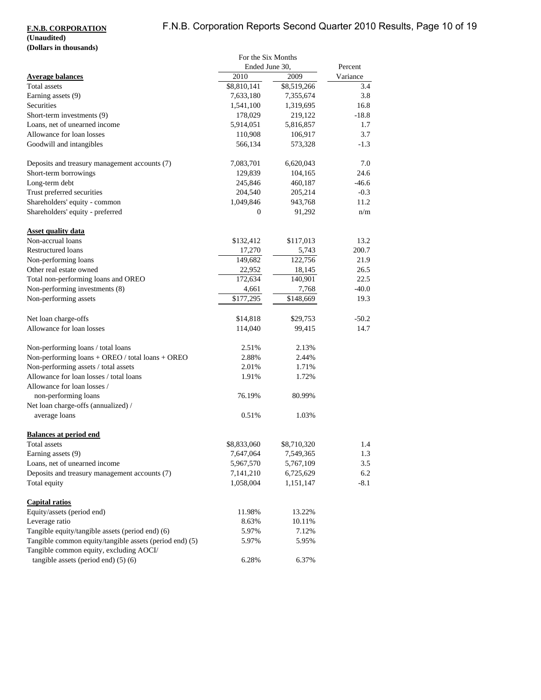# F.N.B. Corporation Reports Second Quarter 2010 Results, Page 10 of 19

### **F.N.B. CORPORATION (Unaudited)**

# **(Dollars in thousands)**

|                                                             | For the Six Months |             |          |
|-------------------------------------------------------------|--------------------|-------------|----------|
|                                                             | Ended June 30,     |             | Percent  |
| <b>Average balances</b>                                     | 2010               | 2009        | Variance |
| Total assets                                                | \$8,810,141        | \$8,519,266 | 3.4      |
| Earning assets (9)                                          | 7,633,180          | 7,355,674   | 3.8      |
| Securities                                                  | 1,541,100          | 1,319,695   | 16.8     |
| Short-term investments (9)                                  | 178,029            | 219,122     | $-18.8$  |
| Loans, net of unearned income                               | 5,914,051          | 5,816,857   | 1.7      |
| Allowance for loan losses                                   | 110,908            | 106,917     | 3.7      |
| Goodwill and intangibles                                    | 566,134            | 573,328     | $-1.3$   |
| Deposits and treasury management accounts (7)               | 7,083,701          | 6,620,043   | 7.0      |
| Short-term borrowings                                       | 129,839            | 104,165     | 24.6     |
| Long-term debt                                              | 245,846            | 460,187     | $-46.6$  |
| Trust preferred securities                                  | 204,540            | 205,214     | $-0.3$   |
| Shareholders' equity - common                               | 1,049,846          | 943,768     | 11.2     |
| Shareholders' equity - preferred                            | 0                  | 91,292      | n/m      |
| <b>Asset quality data</b>                                   |                    |             |          |
| Non-accrual loans                                           | \$132,412          | \$117,013   | 13.2     |
| <b>Restructured loans</b>                                   | 17,270             | 5,743       | 200.7    |
| Non-performing loans                                        | 149,682            | 122,756     | 21.9     |
| Other real estate owned                                     | 22,952             | 18,145      | 26.5     |
| Total non-performing loans and OREO                         | 172,634            | 140,901     | 22.5     |
| Non-performing investments (8)                              | 4,661              | 7,768       | $-40.0$  |
| Non-performing assets                                       | \$177,295          | \$148,669   | 19.3     |
| Net loan charge-offs                                        | \$14,818           | \$29,753    | $-50.2$  |
| Allowance for loan losses                                   | 114,040            | 99,415      | 14.7     |
| Non-performing loans / total loans                          | 2.51%              | 2.13%       |          |
| Non-performing loans + OREO / total loans + OREO            | 2.88%              | 2.44%       |          |
| Non-performing assets / total assets                        | 2.01%              | 1.71%       |          |
| Allowance for loan losses / total loans                     | 1.91%              | 1.72%       |          |
| Allowance for loan losses /                                 |                    |             |          |
| non-performing loans<br>Net loan charge-offs (annualized) / | 76.19%             | 80.99%      |          |
| average loans                                               | 0.51%              | 1.03%       |          |
| <b>Balances at period end</b>                               |                    |             |          |
| Total assets                                                | \$8,833,060        | \$8,710,320 | 1.4      |
| Earning assets (9)                                          | 7,647,064          | 7,549,365   | 1.3      |
| Loans, net of unearned income                               | 5,967,570          | 5,767,109   | 3.5      |
| Deposits and treasury management accounts (7)               | 7,141,210          | 6,725,629   | 6.2      |
| Total equity                                                | 1,058,004          | 1,151,147   | $-8.1$   |
| <b>Capital ratios</b>                                       |                    |             |          |
| Equity/assets (period end)                                  | 11.98%             | 13.22%      |          |
| Leverage ratio                                              | 8.63%              | 10.11%      |          |
| Tangible equity/tangible assets (period end) (6)            | 5.97%              | 7.12%       |          |
| Tangible common equity/tangible assets (period end) (5)     | 5.97%              | 5.95%       |          |
| Tangible common equity, excluding AOCI/                     |                    |             |          |
| tangible assets (period end) $(5)$ (6)                      | 6.28%              | 6.37%       |          |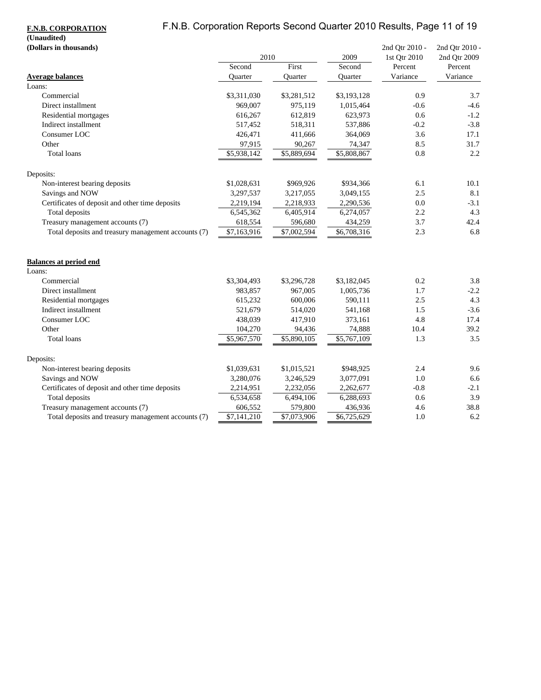# F.N.B. Corporation Reports Second Quarter 2010 Results, Page 11 of 19

## **F.N.B. CORPORATION**

# **(Unaudited)**

| (Dollars in thousands)                              |             |             |             | 2nd Qtr 2010 -      | 2nd Qtr 2010 -      |
|-----------------------------------------------------|-------------|-------------|-------------|---------------------|---------------------|
|                                                     | 2010        |             | 2009        | 1st Qtr 2010        | 2nd Qtr 2009        |
|                                                     | Second      | First       | Second      | Percent<br>Variance | Percent<br>Variance |
| <b>Average balances</b><br>Loans:                   | Ouarter     | Quarter     | Ouarter     |                     |                     |
| Commercial                                          | \$3,311,030 | \$3,281,512 | \$3,193,128 | 0.9                 | 3.7                 |
| Direct installment                                  | 969,007     | 975,119     | 1,015,464   | $-0.6$              | $-4.6$              |
| Residential mortgages                               | 616,267     | 612,819     | 623,973     | 0.6                 | $-1.2$              |
| Indirect installment                                | 517,452     | 518,311     | 537,886     | $-0.2$              | $-3.8$              |
| Consumer LOC                                        | 426,471     | 411,666     | 364,069     | 3.6                 | 17.1                |
| Other                                               | 97,915      | 90,267      | 74,347      | 8.5                 | 31.7                |
| <b>Total loans</b>                                  | \$5,938,142 | \$5,889,694 | \$5,808,867 | 0.8                 | 2.2                 |
|                                                     |             |             |             |                     |                     |
| Deposits:                                           |             |             |             |                     |                     |
| Non-interest bearing deposits                       | \$1,028,631 | \$969,926   | \$934,366   | 6.1                 | 10.1                |
| Savings and NOW                                     | 3,297,537   | 3,217,055   | 3,049,155   | 2.5                 | 8.1                 |
| Certificates of deposit and other time deposits     | 2,219,194   | 2,218,933   | 2,290,536   | 0.0                 | $-3.1$              |
| Total deposits                                      | 6,545,362   | 6,405,914   | 6,274,057   | 2.2                 | 4.3                 |
| Treasury management accounts (7)                    | 618,554     | 596,680     | 434,259     | 3.7                 | 42.4                |
| Total deposits and treasury management accounts (7) | \$7,163,916 | \$7,002,594 | \$6,708,316 | 2.3                 | 6.8                 |
| <b>Balances at period end</b>                       |             |             |             |                     |                     |
| Loans:                                              |             |             |             |                     |                     |
| Commercial                                          | \$3,304,493 | \$3,296,728 | \$3,182,045 | 0.2                 | 3.8                 |
| Direct installment                                  | 983,857     | 967,005     | 1,005,736   | 1.7                 | $-2.2$              |
| Residential mortgages                               | 615,232     | 600,006     | 590,111     | 2.5                 | 4.3                 |
| Indirect installment                                | 521,679     | 514,020     | 541,168     | 1.5                 | $-3.6$              |
| Consumer LOC                                        | 438,039     | 417,910     | 373,161     | 4.8                 | 17.4                |
| Other                                               | 104,270     | 94,436      | 74,888      | 10.4                | 39.2                |
| <b>Total loans</b>                                  | \$5,967,570 | \$5,890,105 | \$5,767,109 | 1.3                 | 3.5                 |
| Deposits:                                           |             |             |             |                     |                     |
| Non-interest bearing deposits                       | \$1,039,631 | \$1,015,521 | \$948,925   | 2.4                 | 9.6                 |
| Savings and NOW                                     | 3,280,076   | 3,246,529   | 3,077,091   | 1.0                 | 6.6                 |
| Certificates of deposit and other time deposits     | 2,214,951   | 2,232,056   | 2,262,677   | $-0.8$              | $-2.1$              |
| Total deposits                                      | 6,534,658   | 6,494,106   | 6,288,693   | 0.6                 | 3.9                 |
| Treasury management accounts (7)                    | 606,552     | 579,800     | 436,936     | 4.6                 | 38.8                |
| Total deposits and treasury management accounts (7) | \$7,141,210 | \$7,073,906 | \$6,725,629 | 1.0                 | 6.2                 |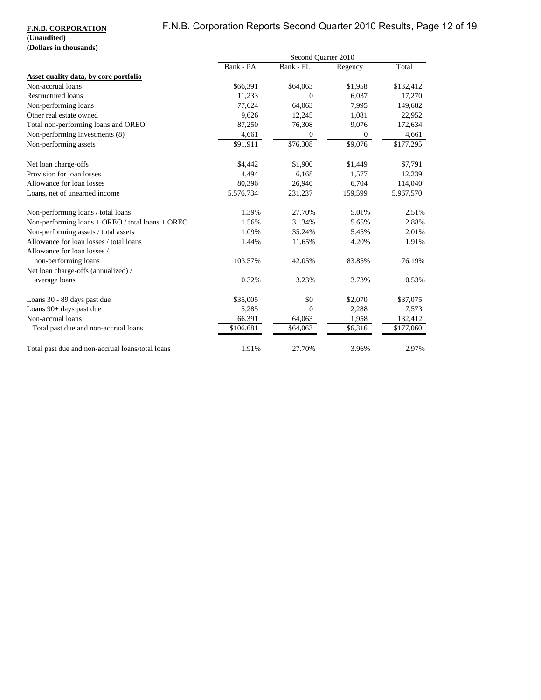# F.N.B. Corporation Reports Second Quarter 2010 Results, Page 12 of 19

### **F.N.B. CORPORATION (Unaudited) (Dollars in thousands)**

|                                                    |           | Second Quarter 2010 |                  |           |
|----------------------------------------------------|-----------|---------------------|------------------|-----------|
|                                                    | Bank - PA | Bank - FL           | Regency          | Total     |
| Asset quality data, by core portfolio              |           |                     |                  |           |
| Non-accrual loans                                  | \$66,391  | \$64,063            | \$1,958          | \$132,412 |
| <b>Restructured loans</b>                          | 11,233    | $\mathbf{0}$        | 6,037            | 17,270    |
| Non-performing loans                               | 77,624    | 64,063              | 7,995            | 149,682   |
| Other real estate owned                            | 9,626     | 12,245              | 1,081            | 22,952    |
| Total non-performing loans and OREO                | 87,250    | 76,308              | 9,076            | 172,634   |
| Non-performing investments (8)                     | 4,661     | 0                   | $\boldsymbol{0}$ | 4,661     |
| Non-performing assets                              | \$91,911  | \$76,308            | \$9,076          | \$177,295 |
| Net loan charge-offs                               | \$4,442   | \$1,900             | \$1,449          | \$7,791   |
| Provision for loan losses                          | 4,494     | 6,168               | 1,577            | 12,239    |
| Allowance for loan losses                          | 80,396    | 26,940              | 6,704            | 114,040   |
| Loans, net of unearned income                      | 5,576,734 | 231,237             | 159,599          | 5,967,570 |
| Non-performing loans / total loans                 | 1.39%     | 27.70%              | 5.01%            | 2.51%     |
| Non-performing $loans + OREO / total loans + OREO$ | 1.56%     | 31.34%              | 5.65%            | 2.88%     |
| Non-performing assets / total assets               | 1.09%     | 35.24%              | 5.45%            | 2.01%     |
| Allowance for loan losses / total loans            | 1.44%     | 11.65%              | 4.20%            | 1.91%     |
| Allowance for loan losses /                        |           |                     |                  |           |
| non-performing loans                               | 103.57%   | 42.05%              | 83.85%           | 76.19%    |
| Net loan charge-offs (annualized) /                |           |                     |                  |           |
| average loans                                      | 0.32%     | 3.23%               | 3.73%            | 0.53%     |
| Loans 30 - 89 days past due                        | \$35,005  | \$0                 | \$2,070          | \$37,075  |
| Loans 90+ days past due                            | 5,285     | $\mathbf{0}$        | 2,288            | 7,573     |
| Non-accrual loans                                  | 66,391    | 64,063              | 1,958            | 132,412   |
| Total past due and non-accrual loans               | \$106,681 | \$64,063            | \$6,316          | \$177,060 |
| Total past due and non-accrual loans/total loans   | 1.91%     | 27.70%              | 3.96%            | 2.97%     |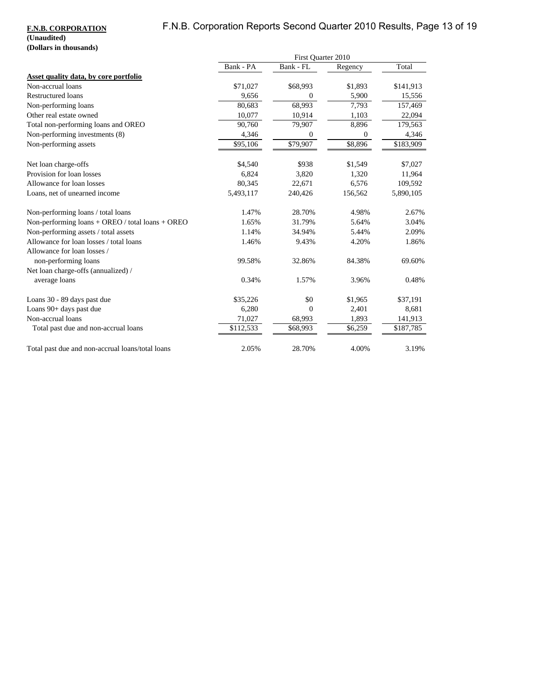# F.N.B. Corporation Reports Second Quarter 2010 Results, Page 13 of 19

### **F.N.B. CORPORATION (Unaudited) (Dollars in thousands)**

|                                                    | First Quarter 2010 |           |          |           |
|----------------------------------------------------|--------------------|-----------|----------|-----------|
|                                                    | Bank - PA          | Bank - FL | Regency  | Total     |
| Asset quality data, by core portfolio              |                    |           |          |           |
| Non-accrual loans                                  | \$71,027           | \$68,993  | \$1,893  | \$141,913 |
| <b>Restructured loans</b>                          | 9,656              | 0         | 5,900    | 15,556    |
| Non-performing loans                               | 80,683             | 68,993    | 7,793    | 157,469   |
| Other real estate owned                            | 10,077             | 10,914    | 1,103    | 22,094    |
| Total non-performing loans and OREO                | 90,760             | 79,907    | 8,896    | 179,563   |
| Non-performing investments (8)                     | 4,346              | 0         | $\theta$ | 4,346     |
| Non-performing assets                              | \$95,106           | \$79,907  | \$8,896  | \$183,909 |
| Net loan charge-offs                               | \$4,540            | \$938     | \$1,549  | \$7,027   |
| Provision for loan losses                          | 6,824              | 3,820     | 1,320    | 11,964    |
| Allowance for loan losses                          | 80,345             | 22,671    | 6,576    | 109,592   |
| Loans, net of unearned income                      | 5,493,117          | 240,426   | 156,562  | 5,890,105 |
| Non-performing loans / total loans                 | 1.47%              | 28.70%    | 4.98%    | 2.67%     |
| Non-performing $loans + OREO / total loans + OREO$ | 1.65%              | 31.79%    | 5.64%    | 3.04%     |
| Non-performing assets / total assets               | 1.14%              | 34.94%    | 5.44%    | 2.09%     |
| Allowance for loan losses / total loans            | 1.46%              | 9.43%     | 4.20%    | 1.86%     |
| Allowance for loan losses /                        |                    |           |          |           |
| non-performing loans                               | 99.58%             | 32.86%    | 84.38%   | 69.60%    |
| Net loan charge-offs (annualized) /                |                    |           |          |           |
| average loans                                      | 0.34%              | 1.57%     | 3.96%    | 0.48%     |
| Loans 30 - 89 days past due                        | \$35,226           | \$0       | \$1,965  | \$37,191  |
| Loans 90+ days past due                            | 6,280              | $\Omega$  | 2,401    | 8,681     |
| Non-accrual loans                                  | 71,027             | 68,993    | 1,893    | 141,913   |
| Total past due and non-accrual loans               | \$112,533          | \$68,993  | \$6,259  | \$187,785 |
| Total past due and non-accrual loans/total loans   | 2.05%              | 28.70%    | 4.00%    | 3.19%     |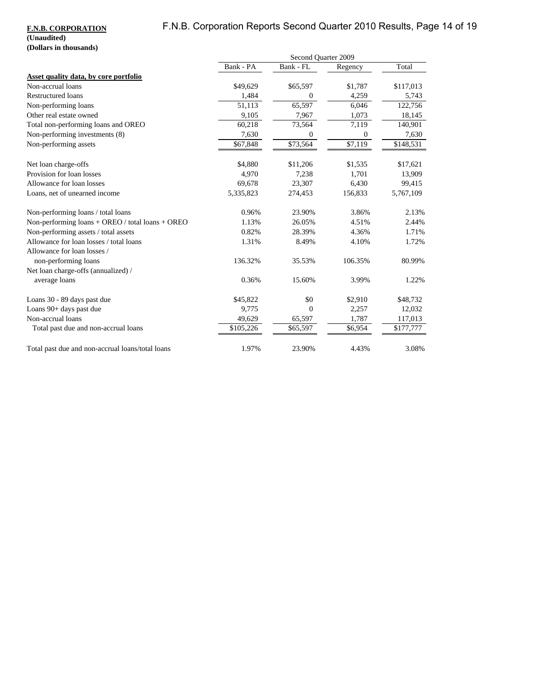# F.N.B. Corporation Reports Second Quarter 2010 Results, Page 14 of 19

### **F.N.B. CORPORATION (Unaudited) (Dollars in thousands)**

|                                                    |           | Second Quarter 2009 |              |           |
|----------------------------------------------------|-----------|---------------------|--------------|-----------|
|                                                    | Bank - PA | Bank - FL           | Regency      | Total     |
| Asset quality data, by core portfolio              |           |                     |              |           |
| Non-accrual loans                                  | \$49,629  | \$65,597            | \$1,787      | \$117,013 |
| <b>Restructured loans</b>                          | 1,484     | $\boldsymbol{0}$    | 4,259        | 5,743     |
| Non-performing loans                               | 51,113    | 65,597              | 6,046        | 122,756   |
| Other real estate owned                            | 9,105     | 7,967               | 1,073        | 18,145    |
| Total non-performing loans and OREO                | 60,218    | 73,564              | 7,119        | 140,901   |
| Non-performing investments (8)                     | 7,630     | $\overline{0}$      | $\mathbf{0}$ | 7,630     |
| Non-performing assets                              | \$67,848  | \$73,564            | \$7,119      | \$148,531 |
| Net loan charge-offs                               | \$4,880   | \$11,206            | \$1,535      | \$17,621  |
| Provision for loan losses                          | 4,970     | 7,238               | 1,701        | 13,909    |
| Allowance for loan losses                          | 69,678    | 23,307              | 6,430        | 99,415    |
| Loans, net of unearned income                      | 5,335,823 | 274,453             | 156,833      | 5,767,109 |
| Non-performing loans / total loans                 | 0.96%     | 23.90%              | 3.86%        | 2.13%     |
| Non-performing $loans + OREO / total loans + OREO$ | 1.13%     | 26.05%              | 4.51%        | 2.44%     |
| Non-performing assets / total assets               | 0.82%     | 28.39%              | 4.36%        | 1.71%     |
| Allowance for loan losses / total loans            | 1.31%     | 8.49%               | 4.10%        | 1.72%     |
| Allowance for loan losses /                        |           |                     |              |           |
| non-performing loans                               | 136.32%   | 35.53%              | 106.35%      | 80.99%    |
| Net loan charge-offs (annualized) /                |           |                     |              |           |
| average loans                                      | 0.36%     | 15.60%              | 3.99%        | 1.22%     |
| Loans 30 - 89 days past due                        | \$45,822  | \$0                 | \$2,910      | \$48,732  |
| Loans 90+ days past due                            | 9,775     | $\mathbf{0}$        | 2,257        | 12,032    |
| Non-accrual loans                                  | 49,629    | 65,597              | 1,787        | 117,013   |
| Total past due and non-accrual loans               | \$105,226 | \$65,597            | \$6,954      | \$177,777 |
| Total past due and non-accrual loans/total loans   | 1.97%     | 23.90%              | 4.43%        | 3.08%     |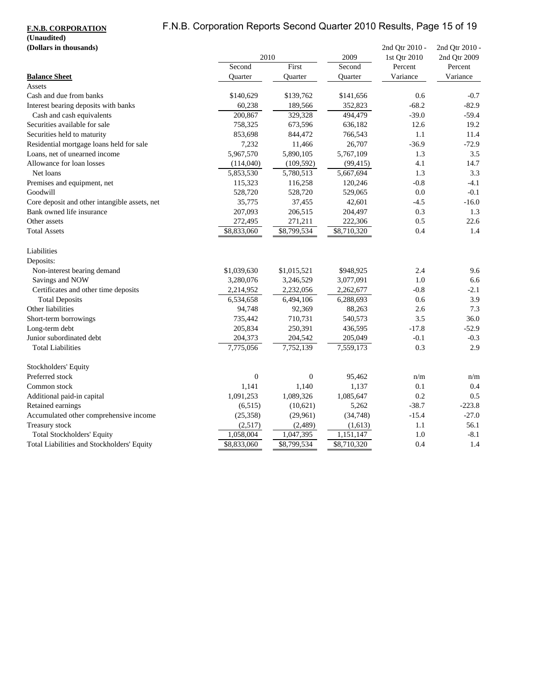# F.N.B. Corporation Reports Second Quarter 2010 Results, Page 15 of 19

### **F.N.B. CORPORATION**

# **(Unaudited)**

| (Dollars in thousands)                        |                  |                  |             | 2nd Qtr 2010 - | 2nd Qtr 2010 - |
|-----------------------------------------------|------------------|------------------|-------------|----------------|----------------|
|                                               | 2010             |                  | 2009        | 1st Qtr 2010   | 2nd Qtr 2009   |
|                                               | Second           | First            | Second      | Percent        | Percent        |
| <b>Balance Sheet</b>                          | Quarter          | Quarter          | Quarter     | Variance       | Variance       |
| Assets                                        |                  |                  |             |                |                |
| Cash and due from banks                       | \$140,629        | \$139,762        | \$141,656   | 0.6            | $-0.7$         |
| Interest bearing deposits with banks          | 60,238           | 189,566          | 352,823     | $-68.2$        | $-82.9$        |
| Cash and cash equivalents                     | 200,867          | 329,328          | 494,479     | $-39.0$        | $-59.4$        |
| Securities available for sale                 | 758,325          | 673,596          | 636,182     | 12.6           | 19.2           |
| Securities held to maturity                   | 853,698          | 844,472          | 766,543     | 1.1            | 11.4           |
| Residential mortgage loans held for sale      | 7,232            | 11,466           | 26,707      | $-36.9$        | $-72.9$        |
| Loans, net of unearned income                 | 5,967,570        | 5,890,105        | 5,767,109   | 1.3            | 3.5            |
| Allowance for loan losses                     | (114,040)        | (109, 592)       | (99, 415)   | 4.1            | 14.7           |
| Net loans                                     | 5,853,530        | 5,780,513        | 5,667,694   | 1.3            | 3.3            |
| Premises and equipment, net                   | 115,323          | 116,258          | 120,246     | $-0.8$         | $-4.1$         |
| Goodwill                                      | 528,720          | 528,720          | 529,065     | 0.0            | $-0.1$         |
| Core deposit and other intangible assets, net | 35,775           | 37,455           | 42,601      | $-4.5$         | $-16.0$        |
| Bank owned life insurance                     | 207,093          | 206,515          | 204,497     | 0.3            | 1.3            |
| Other assets                                  | 272,495          | 271,211          | 222,306     | 0.5            | 22.6           |
| <b>Total Assets</b>                           | \$8,833,060      | \$8,799,534      | \$8,710,320 | 0.4            | 1.4            |
| Liabilities                                   |                  |                  |             |                |                |
| Deposits:                                     |                  |                  |             |                |                |
| Non-interest bearing demand                   | \$1,039,630      | \$1,015,521      | \$948,925   | 2.4            | 9.6            |
| Savings and NOW                               | 3,280,076        | 3,246,529        | 3,077,091   | 1.0            | 6.6            |
| Certificates and other time deposits          | 2,214,952        | 2,232,056        | 2,262,677   | $-0.8$         | $-2.1$         |
| <b>Total Deposits</b>                         | 6,534,658        | 6,494,106        | 6,288,693   | 0.6            | 3.9            |
| Other liabilities                             | 94,748           | 92,369           | 88,263      | 2.6            | 7.3            |
| Short-term borrowings                         | 735,442          | 710,731          | 540,573     | 3.5            | 36.0           |
| Long-term debt                                | 205,834          | 250,391          | 436,595     | $-17.8$        | $-52.9$        |
| Junior subordinated debt                      | 204,373          | 204,542          | 205,049     | $-0.1$         | $-0.3$         |
| <b>Total Liabilities</b>                      | 7,775,056        | 7,752,139        | 7,559,173   | 0.3            | 2.9            |
| Stockholders' Equity                          |                  |                  |             |                |                |
| Preferred stock                               | $\boldsymbol{0}$ | $\boldsymbol{0}$ | 95,462      | n/m            | n/m            |
| Common stock                                  | 1,141            | 1,140            | 1,137       | 0.1            | 0.4            |
| Additional paid-in capital                    | 1,091,253        | 1,089,326        | 1,085,647   | 0.2            | 0.5            |
| Retained earnings                             | (6,515)          | (10,621)         | 5,262       | $-38.7$        | $-223.8$       |
| Accumulated other comprehensive income        | (25, 358)        | (29,961)         | (34, 748)   | $-15.4$        | $-27.0$        |
| Treasury stock                                | (2,517)          | (2,489)          | (1,613)     | 1.1            | 56.1           |
| <b>Total Stockholders' Equity</b>             | 1,058,004        | 1,047,395        | 1,151,147   | 1.0            | $-8.1$         |
| Total Liabilities and Stockholders' Equity    | \$8,833,060      | \$8,799,534      | \$8,710,320 | 0.4            | 1.4            |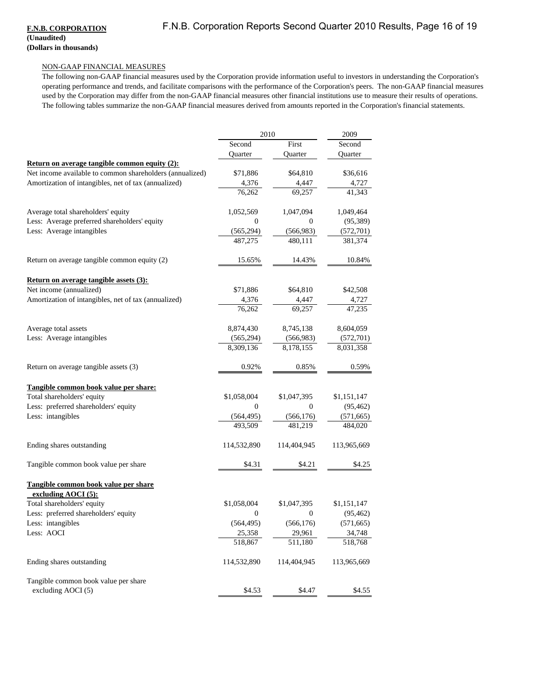#### **F.N.B. CORPORATION (Unaudited) (Dollars in thousands)**

#### NON-GAAP FINANCIAL MEASURES

The following non-GAAP financial measures used by the Corporation provide information useful to investors in understanding the Corporation's operating performance and trends, and facilitate comparisons with the performance of the Corporation's peers. The non-GAAP financial measures used by the Corporation may differ from the non-GAAP financial measures other financial institutions use to measure their results of operations. The following tables summarize the non-GAAP financial measures derived from amounts reported in the Corporation's financial statements.

|                                                          | 2010         |                  | 2009                   |
|----------------------------------------------------------|--------------|------------------|------------------------|
|                                                          | Second       | First            | Second                 |
|                                                          | Quarter      | Quarter          | Quarter                |
| Return on average tangible common equity (2):            |              |                  |                        |
| Net income available to common shareholders (annualized) | \$71,886     | \$64,810         | \$36,616               |
| Amortization of intangibles, net of tax (annualized)     | 4,376        | 4,447            |                        |
|                                                          | 76,262       | 69.257           | $\frac{4,727}{41,343}$ |
| Average total shareholders' equity                       | 1,052,569    | 1,047,094        | 1,049,464              |
| Less: Average preferred shareholders' equity             | $\mathbf{0}$ | $\mathbf{0}$     | (95, 389)              |
| Less: Average intangibles                                | (565, 294)   | (566, 983)       | (572, 701)             |
|                                                          | 487,275      | 480,111          | 381,374                |
| Return on average tangible common equity (2)             | 15.65%       | 14.43%           | 10.84%                 |
| Return on average tangible assets (3):                   |              |                  |                        |
| Net income (annualized)                                  | \$71,886     | \$64,810         | \$42,508               |
| Amortization of intangibles, net of tax (annualized)     | 4,376        | 4,447            | $\frac{4,727}{47,235}$ |
|                                                          | 76,262       | 69,257           |                        |
| Average total assets                                     | 8,874,430    | 8,745,138        | 8,604,059              |
| Less: Average intangibles                                | (565, 294)   | (566, 983)       | (572, 701)             |
|                                                          | 8,309,136    | 8,178,155        | 8,031,358              |
| Return on average tangible assets (3)                    | 0.92%        | 0.85%            | 0.59%                  |
| Tangible common book value per share:                    |              |                  |                        |
| Total shareholders' equity                               | \$1,058,004  | \$1,047,395      | \$1,151,147            |
| Less: preferred shareholders' equity                     | $\mathbf{0}$ | $\boldsymbol{0}$ | (95, 462)              |
| Less: intangibles                                        | (564, 495)   | (566, 176)       | (571, 665)             |
|                                                          | 493.509      | 481,219          | 484,020                |
| Ending shares outstanding                                | 114,532,890  | 114,404,945      | 113,965,669            |
| Tangible common book value per share                     | \$4.31       | \$4.21           | \$4.25                 |
| Tangible common book value per share                     |              |                  |                        |
| excluding AOCI (5):                                      |              |                  |                        |
| Total shareholders' equity                               | \$1,058,004  | \$1,047,395      | \$1,151,147            |
| Less: preferred shareholders' equity                     | $\mathbf{0}$ | $\boldsymbol{0}$ | (95, 462)              |
| Less: intangibles                                        | (564, 495)   | (566, 176)       | (571, 665)             |
| Less: AOCI                                               | 25,358       | 29,961           | 34,748                 |
|                                                          | 518,867      | 511,180          | 518,768                |
| Ending shares outstanding                                | 114,532,890  | 114,404,945      | 113,965,669            |
| Tangible common book value per share                     |              |                  |                        |
| excluding AOCI (5)                                       | \$4.53       | \$4.47           | \$4.55                 |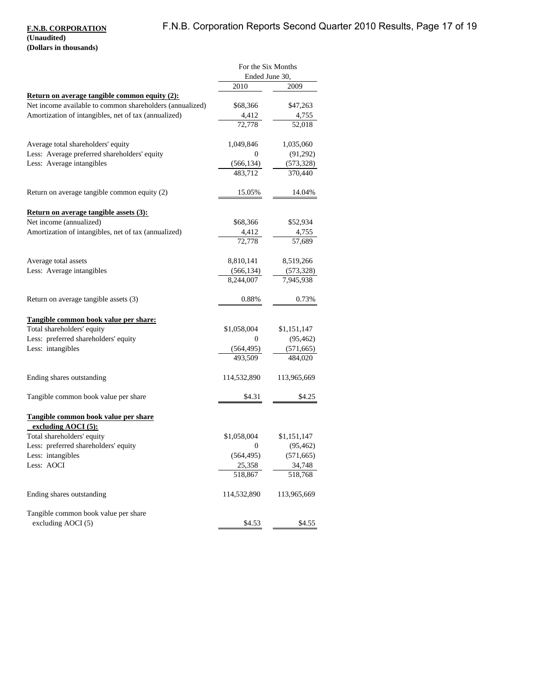### **F.N.B. CORPORATION (Unaudited)**

**(Dollars in thousands)**

|                                                                        | For the Six Months |             |  |
|------------------------------------------------------------------------|--------------------|-------------|--|
|                                                                        | Ended June 30,     |             |  |
|                                                                        | 2010               | 2009        |  |
| <b>Return on average tangible common equity (2):</b>                   |                    |             |  |
| Net income available to common shareholders (annualized)               | \$68,366           | \$47,263    |  |
| Amortization of intangibles, net of tax (annualized)                   | 4,412              | 4,755       |  |
|                                                                        | 72,778             | 52,018      |  |
| Average total shareholders' equity                                     | 1,049,846          | 1,035,060   |  |
| Less: Average preferred shareholders' equity                           | 0                  | (91,292)    |  |
| Less: Average intangibles                                              | (566, 134)         | (573, 328)  |  |
|                                                                        | 483,712            | 370,440     |  |
| Return on average tangible common equity (2)                           | 15.05%             | 14.04%      |  |
| <b>Return on average tangible assets (3):</b>                          |                    |             |  |
| Net income (annualized)                                                | \$68,366           | \$52,934    |  |
| Amortization of intangibles, net of tax (annualized)                   | 4,412              | 4,755       |  |
|                                                                        | 72,778             | 57,689      |  |
| Average total assets                                                   | 8,810,141          | 8,519,266   |  |
| Less: Average intangibles                                              | (566, 134)         | (573, 328)  |  |
|                                                                        | 8,244,007          | 7,945,938   |  |
| Return on average tangible assets (3)                                  | 0.88%              | 0.73%       |  |
| Tangible common book value per share:                                  |                    |             |  |
| Total shareholders' equity                                             | \$1,058,004        | \$1,151,147 |  |
| Less: preferred shareholders' equity                                   | 0                  | (95, 462)   |  |
| Less: intangibles                                                      | (564, 495)         | (571, 665)  |  |
|                                                                        | 493,509            | 484,020     |  |
| Ending shares outstanding                                              | 114,532,890        | 113,965,669 |  |
| Tangible common book value per share                                   | \$4.31             | \$4.25      |  |
| Tangible common book value per share<br>excluding $\triangle OCI(5)$ : |                    |             |  |
| Total shareholders' equity                                             | \$1,058,004        | \$1,151,147 |  |
| Less: preferred shareholders' equity                                   | 0                  | (95, 462)   |  |
| Less: intangibles                                                      | (564, 495)         | (571, 665)  |  |
| Less: AOCI                                                             | 25,358             | 34,748      |  |
|                                                                        | 518,867            | 518,768     |  |
| Ending shares outstanding                                              | 114,532,890        | 113,965,669 |  |
| Tangible common book value per share                                   |                    |             |  |
| excluding AOCI (5)                                                     | \$4.53             | \$4.55      |  |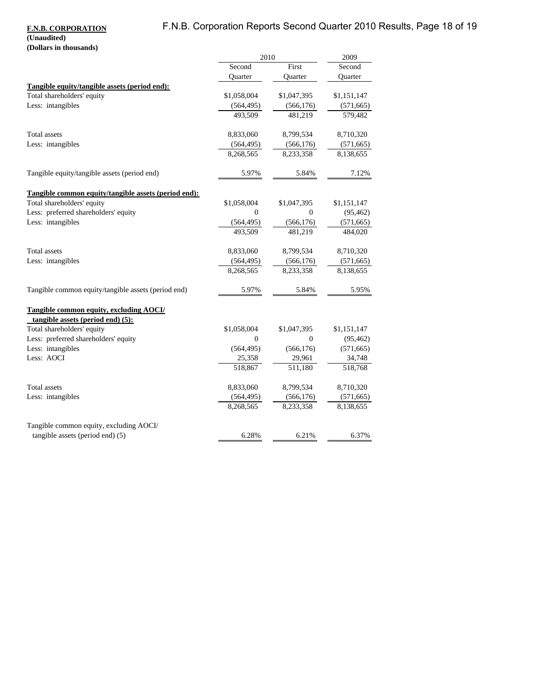# F.N.B. Corporation Reports Second Quarter 2010 Results, Page 18 of 19

### **F.N.B. CORPORATION (Unaudited)**

# **(Dollars in thousands)**

|                                                      | 2010        |                | 2009        |
|------------------------------------------------------|-------------|----------------|-------------|
|                                                      | Second      | First          | Second      |
|                                                      | Quarter     | <b>Ouarter</b> | Quarter     |
| Tangible equity/tangible assets (period end):        |             |                |             |
| Total shareholders' equity                           | \$1,058,004 | \$1,047,395    | \$1,151,147 |
| Less: intangibles                                    | (564, 495)  | (566, 176)     | (571, 665)  |
|                                                      | 493,509     | 481,219        | 579,482     |
| Total assets                                         | 8,833,060   | 8,799,534      | 8,710,320   |
| Less: intangibles                                    | (564, 495)  | (566, 176)     | (571, 665)  |
|                                                      | 8,268,565   | 8,233,358      | 8,138,655   |
| Tangible equity/tangible assets (period end)         | 5.97%       | 5.84%          | 7.12%       |
| Tangible common equity/tangible assets (period end): |             |                |             |
| Total shareholders' equity                           | \$1,058,004 | \$1,047,395    | \$1,151,147 |
| Less: preferred shareholders' equity                 | $\Omega$    | $\Omega$       | (95, 462)   |
| Less: intangibles                                    | (564, 495)  | (566, 176)     | (571, 665)  |
|                                                      | 493.509     | 481.219        | 484,020     |
| Total assets                                         | 8,833,060   | 8,799,534      | 8,710,320   |
| Less: intangibles                                    | (564, 495)  | (566, 176)     | (571, 665)  |
|                                                      | 8,268,565   | 8,233,358      | 8,138,655   |
| Tangible common equity/tangible assets (period end)  | 5.97%       | 5.84%          | 5.95%       |
| <b>Tangible common equity, excluding AOCI/</b>       |             |                |             |
| tangible assets (period end) $(5)$ :                 |             |                |             |
| Total shareholders' equity                           | \$1,058,004 | \$1,047,395    | \$1,151,147 |
| Less: preferred shareholders' equity                 | $\Omega$    | $\Omega$       | (95, 462)   |
| Less: intangibles                                    | (564, 495)  | (566, 176)     | (571, 665)  |
| Less: AOCI                                           | 25,358      | 29,961         | 34,748      |
|                                                      | 518,867     | 511.180        | 518,768     |
| Total assets                                         | 8,833,060   | 8,799,534      | 8,710,320   |
| Less: intangibles                                    | (564, 495)  | (566, 176)     | (571, 665)  |
|                                                      | 8,268,565   | 8,233,358      | 8,138,655   |
| Tangible common equity, excluding AOCI/              |             |                |             |
| tangible assets (period end) (5)                     | 6.28%       | 6.21%          | 6.37%       |